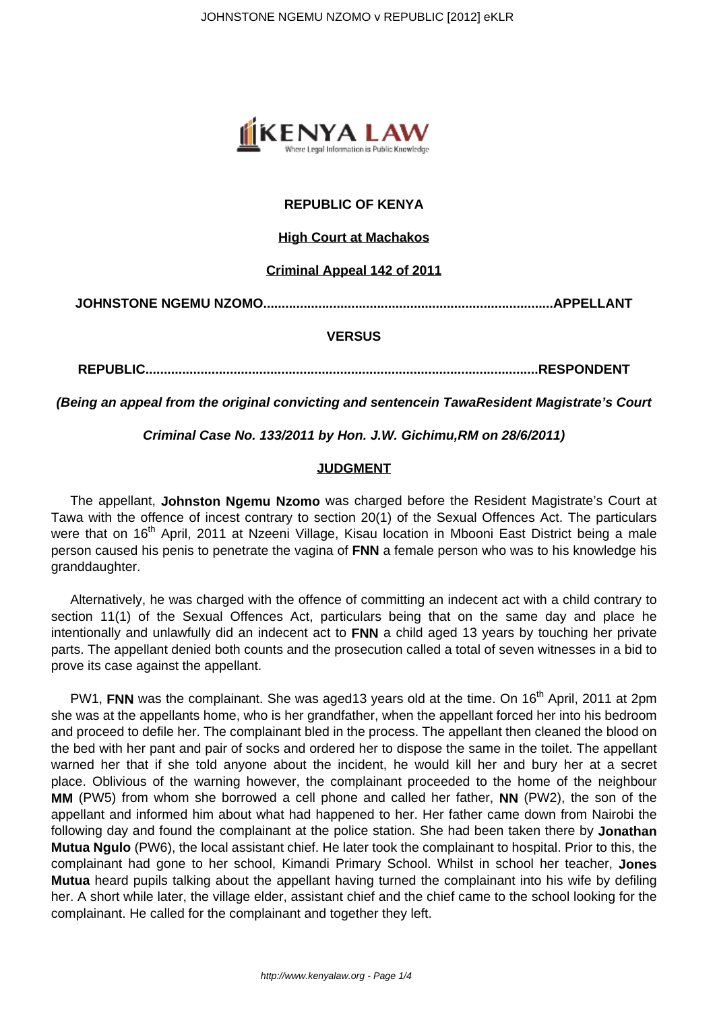

## **REPUBLIC OF KENYA**

### **High Court at Machakos**

#### **Criminal Appeal 142 of 2011**

**JOHNSTONE NGEMU NZOMO...............................................................................APPELLANT**

#### **VERSUS**

**REPUBLIC...........................................................................................................RESPONDENT**

**(Being an appeal from the original convicting and sentencein TawaResident Magistrate's Court**

#### **Criminal Case No. 133/2011 by Hon. J.W. Gichimu,RM on 28/6/2011)**

#### **JUDGMENT**

The appellant, **Johnston Ngemu Nzomo** was charged before the Resident Magistrate's Court at Tawa with the offence of incest contrary to section 20(1) of the Sexual Offences Act. The particulars were that on 16<sup>th</sup> April, 2011 at Nzeeni Village, Kisau location in Mbooni East District being a male person caused his penis to penetrate the vagina of **FNN** a female person who was to his knowledge his granddaughter.

Alternatively, he was charged with the offence of committing an indecent act with a child contrary to section 11(1) of the Sexual Offences Act, particulars being that on the same day and place he intentionally and unlawfully did an indecent act to **FNN** a child aged 13 years by touching her private parts. The appellant denied both counts and the prosecution called a total of seven witnesses in a bid to prove its case against the appellant.

PW1, FNN was the complainant. She was aged13 years old at the time. On 16<sup>th</sup> April, 2011 at 2pm she was at the appellants home, who is her grandfather, when the appellant forced her into his bedroom and proceed to defile her. The complainant bled in the process. The appellant then cleaned the blood on the bed with her pant and pair of socks and ordered her to dispose the same in the toilet. The appellant warned her that if she told anyone about the incident, he would kill her and bury her at a secret place. Oblivious of the warning however, the complainant proceeded to the home of the neighbour **MM** (PW5) from whom she borrowed a cell phone and called her father, **NN** (PW2), the son of the appellant and informed him about what had happened to her. Her father came down from Nairobi the following day and found the complainant at the police station. She had been taken there by **Jonathan Mutua Ngulo** (PW6), the local assistant chief. He later took the complainant to hospital. Prior to this, the complainant had gone to her school, Kimandi Primary School. Whilst in school her teacher, **Jones Mutua** heard pupils talking about the appellant having turned the complainant into his wife by defiling her. A short while later, the village elder, assistant chief and the chief came to the school looking for the complainant. He called for the complainant and together they left.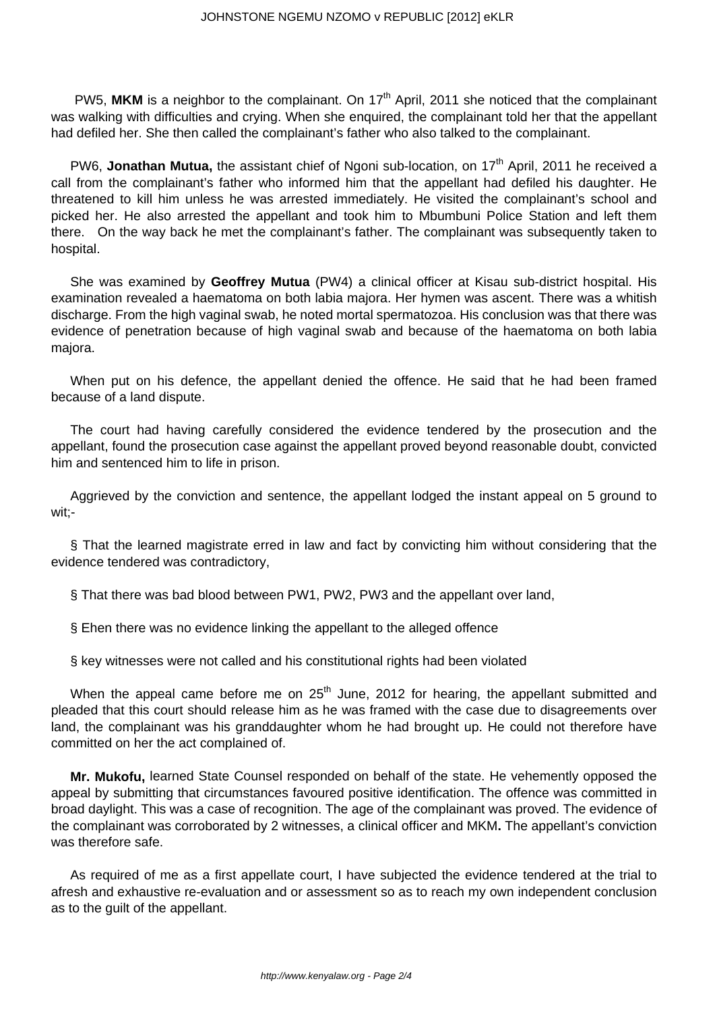PW5. MKM is a neighbor to the complainant. On 17<sup>th</sup> April, 2011 she noticed that the complainant was walking with difficulties and crying. When she enquired, the complainant told her that the appellant had defiled her. She then called the complainant's father who also talked to the complainant.

PW6, **Jonathan Mutua**, the assistant chief of Ngoni sub-location, on 17<sup>th</sup> April, 2011 he received a call from the complainant's father who informed him that the appellant had defiled his daughter. He threatened to kill him unless he was arrested immediately. He visited the complainant's school and picked her. He also arrested the appellant and took him to Mbumbuni Police Station and left them there. On the way back he met the complainant's father. The complainant was subsequently taken to hospital.

She was examined by **Geoffrey Mutua** (PW4) a clinical officer at Kisau sub-district hospital. His examination revealed a haematoma on both labia majora. Her hymen was ascent. There was a whitish discharge. From the high vaginal swab, he noted mortal spermatozoa. His conclusion was that there was evidence of penetration because of high vaginal swab and because of the haematoma on both labia majora.

When put on his defence, the appellant denied the offence. He said that he had been framed because of a land dispute.

The court had having carefully considered the evidence tendered by the prosecution and the appellant, found the prosecution case against the appellant proved beyond reasonable doubt, convicted him and sentenced him to life in prison.

Aggrieved by the conviction and sentence, the appellant lodged the instant appeal on 5 ground to wit;-

§ That the learned magistrate erred in law and fact by convicting him without considering that the evidence tendered was contradictory,

§ That there was bad blood between PW1, PW2, PW3 and the appellant over land,

§ Ehen there was no evidence linking the appellant to the alleged offence

§ key witnesses were not called and his constitutional rights had been violated

When the appeal came before me on  $25<sup>th</sup>$  June, 2012 for hearing, the appellant submitted and pleaded that this court should release him as he was framed with the case due to disagreements over land, the complainant was his granddaughter whom he had brought up. He could not therefore have committed on her the act complained of.

**Mr. Mukofu,** learned State Counsel responded on behalf of the state. He vehemently opposed the appeal by submitting that circumstances favoured positive identification. The offence was committed in broad daylight. This was a case of recognition. The age of the complainant was proved. The evidence of the complainant was corroborated by 2 witnesses, a clinical officer and MKM**.** The appellant's conviction was therefore safe.

As required of me as a first appellate court, I have subjected the evidence tendered at the trial to afresh and exhaustive re-evaluation and or assessment so as to reach my own independent conclusion as to the guilt of the appellant.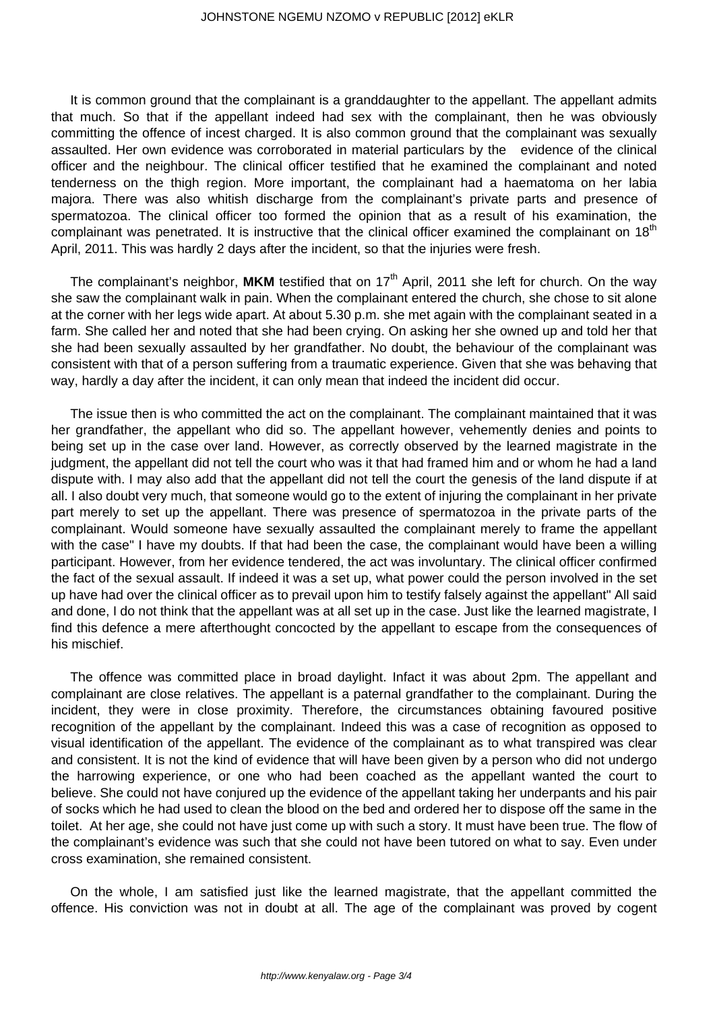It is common ground that the complainant is a granddaughter to the appellant. The appellant admits that much. So that if the appellant indeed had sex with the complainant, then he was obviously committing the offence of incest charged. It is also common ground that the complainant was sexually assaulted. Her own evidence was corroborated in material particulars by the evidence of the clinical officer and the neighbour. The clinical officer testified that he examined the complainant and noted tenderness on the thigh region. More important, the complainant had a haematoma on her labia majora. There was also whitish discharge from the complainant's private parts and presence of spermatozoa. The clinical officer too formed the opinion that as a result of his examination, the complainant was penetrated. It is instructive that the clinical officer examined the complainant on 18<sup>th</sup> April, 2011. This was hardly 2 days after the incident, so that the injuries were fresh.

The complainant's neighbor, MKM testified that on 17<sup>th</sup> April, 2011 she left for church. On the way she saw the complainant walk in pain. When the complainant entered the church, she chose to sit alone at the corner with her legs wide apart. At about 5.30 p.m. she met again with the complainant seated in a farm. She called her and noted that she had been crying. On asking her she owned up and told her that she had been sexually assaulted by her grandfather. No doubt, the behaviour of the complainant was consistent with that of a person suffering from a traumatic experience. Given that she was behaving that way, hardly a day after the incident, it can only mean that indeed the incident did occur.

The issue then is who committed the act on the complainant. The complainant maintained that it was her grandfather, the appellant who did so. The appellant however, vehemently denies and points to being set up in the case over land. However, as correctly observed by the learned magistrate in the judgment, the appellant did not tell the court who was it that had framed him and or whom he had a land dispute with. I may also add that the appellant did not tell the court the genesis of the land dispute if at all. I also doubt very much, that someone would go to the extent of injuring the complainant in her private part merely to set up the appellant. There was presence of spermatozoa in the private parts of the complainant. Would someone have sexually assaulted the complainant merely to frame the appellant with the case" I have my doubts. If that had been the case, the complainant would have been a willing participant. However, from her evidence tendered, the act was involuntary. The clinical officer confirmed the fact of the sexual assault. If indeed it was a set up, what power could the person involved in the set up have had over the clinical officer as to prevail upon him to testify falsely against the appellant" All said and done, I do not think that the appellant was at all set up in the case. Just like the learned magistrate, I find this defence a mere afterthought concocted by the appellant to escape from the consequences of his mischief.

The offence was committed place in broad daylight. Infact it was about 2pm. The appellant and complainant are close relatives. The appellant is a paternal grandfather to the complainant. During the incident, they were in close proximity. Therefore, the circumstances obtaining favoured positive recognition of the appellant by the complainant. Indeed this was a case of recognition as opposed to visual identification of the appellant. The evidence of the complainant as to what transpired was clear and consistent. It is not the kind of evidence that will have been given by a person who did not undergo the harrowing experience, or one who had been coached as the appellant wanted the court to believe. She could not have conjured up the evidence of the appellant taking her underpants and his pair of socks which he had used to clean the blood on the bed and ordered her to dispose off the same in the toilet. At her age, she could not have just come up with such a story. It must have been true. The flow of the complainant's evidence was such that she could not have been tutored on what to say. Even under cross examination, she remained consistent.

On the whole, I am satisfied just like the learned magistrate, that the appellant committed the offence. His conviction was not in doubt at all. The age of the complainant was proved by cogent